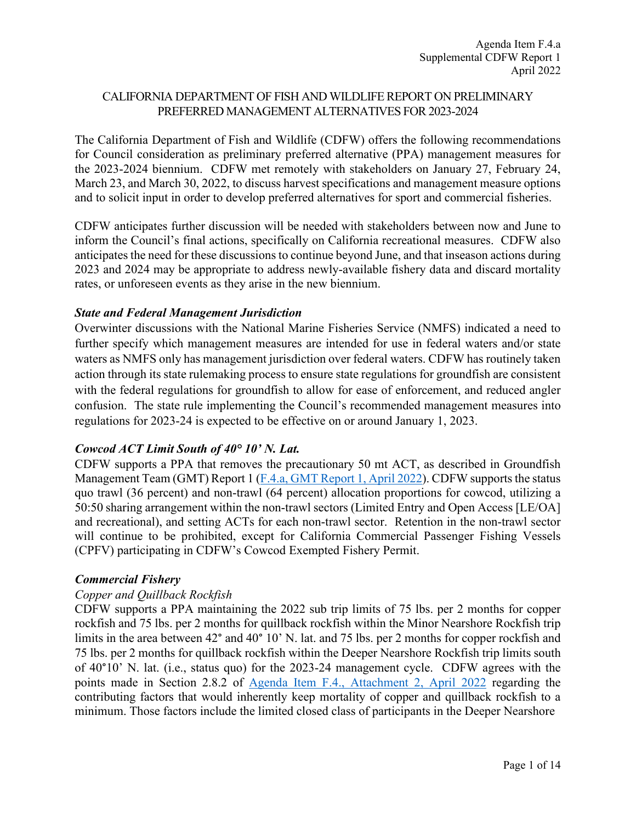## CALIFORNIA DEPARTMENT OF FISH AND WILDLIFE REPORT ON PRELIMINARY PREFERRED MANAGEMENT ALTERNATIVES FOR 2023-2024

The California Department of Fish and Wildlife (CDFW) offers the following recommendations for Council consideration as preliminary preferred alternative (PPA) management measures for the 2023-2024 biennium. CDFW met remotely with stakeholders on January 27, February 24, March 23, and March 30, 2022, to discuss harvest specifications and management measure options and to solicit input in order to develop preferred alternatives for sport and commercial fisheries.

CDFW anticipates further discussion will be needed with stakeholders between now and June to inform the Council's final actions, specifically on California recreational measures. CDFW also anticipates the need for these discussions to continue beyond June, and that inseason actions during 2023 and 2024 may be appropriate to address newly-available fishery data and discard mortality rates, or unforeseen events as they arise in the new biennium.

### *State and Federal Management Jurisdiction*

Overwinter discussions with the National Marine Fisheries Service (NMFS) indicated a need to further specify which management measures are intended for use in federal waters and/or state waters as NMFS only has management jurisdiction over federal waters. CDFW has routinely taken action through its state rulemaking process to ensure state regulations for groundfish are consistent with the federal regulations for groundfish to allow for ease of enforcement, and reduced angler confusion. The state rule implementing the Council's recommended management measures into regulations for 2023-24 is expected to be effective on or around January 1, 2023.

# *Cowcod ACT Limit South of 40° 10' N. Lat.*

CDFW supports a PPA that removes the precautionary 50 mt ACT, as described in Groundfish Management Team (GMT) Report 1 [\(F.4.a, GMT Report 1, April 2022\)](https://www.pcouncil.org/documents/2022/03/f-4-a-gmt-report-1-report-on-reconsideration-of-the-cowcod-south-of-40-10%e2%80%b2-n-lat-annual-catch-target.pdf/). CDFW supports the status quo trawl (36 percent) and non-trawl (64 percent) allocation proportions for cowcod, utilizing a 50:50 sharing arrangement within the non-trawl sectors (Limited Entry and Open Access [LE/OA] and recreational), and setting ACTs for each non-trawl sector. Retention in the non-trawl sector will continue to be prohibited, except for California Commercial Passenger Fishing Vessels (CPFV) participating in CDFW's Cowcod Exempted Fishery Permit.

### *Commercial Fishery*

### *Copper and Quillback Rockfish*

CDFW supports a PPA maintaining the 2022 sub trip limits of 75 lbs. per 2 months for copper rockfish and 75 lbs. per 2 months for quillback rockfish within the Minor Nearshore Rockfish trip limits in the area between 42° and 40° 10' N. lat. and 75 lbs. per 2 months for copper rockfish and 75 lbs. per 2 months for quillback rockfish within the Deeper Nearshore Rockfish trip limits south of 40°10' N. lat. (i.e., status quo) for the 2023-24 management cycle. CDFW agrees with the points made in Section 2.8.2 of [Agenda Item F.4., Attachment 2, April 2022](https://www.pcouncil.org/documents/2022/03/f-4-attachment-2-2023-2024-management-measure-analytical-document-electronic-only.pdf/) regarding the contributing factors that would inherently keep mortality of copper and quillback rockfish to a minimum. Those factors include the limited closed class of participants in the Deeper Nearshore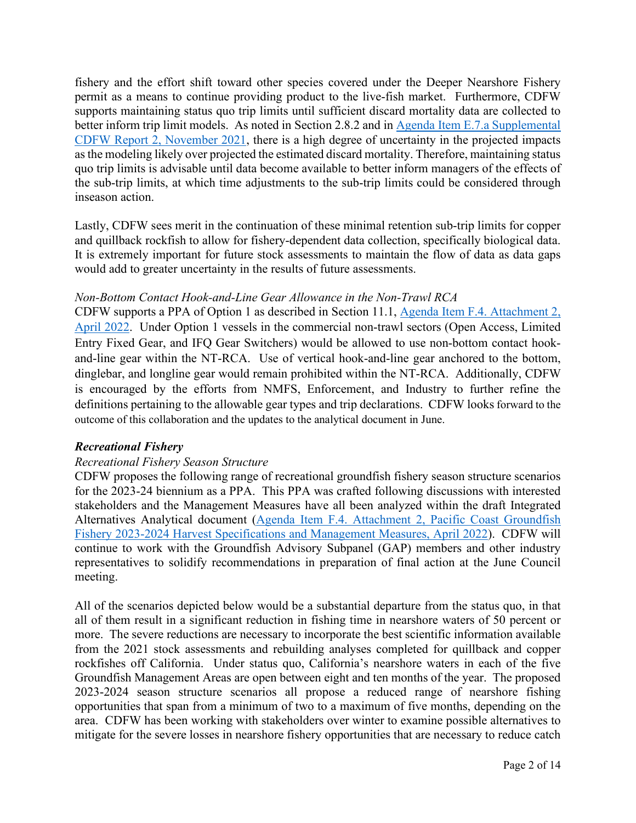fishery and the effort shift toward other species covered under the Deeper Nearshore Fishery permit as a means to continue providing product to the live-fish market. Furthermore, CDFW supports maintaining status quo trip limits until sufficient discard mortality data are collected to better inform trip limit models. As noted in Section 2.8.2 and in [Agenda Item E.7.a Supplemental](https://www.pcouncil.org/documents/2021/11/e-7-a-supplemental-cdfw-report-2.pdf/)  [CDFW Report 2, November 2021,](https://www.pcouncil.org/documents/2021/11/e-7-a-supplemental-cdfw-report-2.pdf/) there is a high degree of uncertainty in the projected impacts as the modeling likely over projected the estimated discard mortality. Therefore, maintaining status quo trip limits is advisable until data become available to better inform managers of the effects of the sub-trip limits, at which time adjustments to the sub-trip limits could be considered through inseason action.

Lastly, CDFW sees merit in the continuation of these minimal retention sub-trip limits for copper and quillback rockfish to allow for fishery-dependent data collection, specifically biological data. It is extremely important for future stock assessments to maintain the flow of data as data gaps would add to greater uncertainty in the results of future assessments.

## *Non-Bottom Contact Hook-and-Line Gear Allowance in the Non-Trawl RCA*

CDFW supports a PPA of Option 1 as described in Section 11.1, [Agenda Item F.4. Attachment 2,](https://www.pcouncil.org/documents/2022/03/f-4-attachment-2-2023-2024-management-measure-analytical-document-electronic-only.pdf/)  [April 2022.](https://www.pcouncil.org/documents/2022/03/f-4-attachment-2-2023-2024-management-measure-analytical-document-electronic-only.pdf/) Under Option 1 vessels in the commercial non-trawl sectors (Open Access, Limited Entry Fixed Gear, and IFQ Gear Switchers) would be allowed to use non-bottom contact hookand-line gear within the NT-RCA. Use of vertical hook-and-line gear anchored to the bottom, dinglebar, and longline gear would remain prohibited within the NT-RCA. Additionally, CDFW is encouraged by the efforts from NMFS, Enforcement, and Industry to further refine the definitions pertaining to the allowable gear types and trip declarations. CDFW looks forward to the outcome of this collaboration and the updates to the analytical document in June.

# *Recreational Fishery*

### *Recreational Fishery Season Structure*

CDFW proposes the following range of recreational groundfish fishery season structure scenarios for the 2023-24 biennium as a PPA. This PPA was crafted following discussions with interested stakeholders and the Management Measures have all been analyzed within the draft Integrated Alternatives Analytical document [\(Agenda Item F.4. Attachment 2, Pacific Coast Groundfish](https://www.pcouncil.org/documents/2022/03/f-4-attachment-2-2023-2024-management-measure-analytical-document-electronic-only.pdf/)  [Fishery 2023-2024 Harvest Specifications and Management Measures, April 2022\)](https://www.pcouncil.org/documents/2022/03/f-4-attachment-2-2023-2024-management-measure-analytical-document-electronic-only.pdf/). CDFW will continue to work with the Groundfish Advisory Subpanel (GAP) members and other industry representatives to solidify recommendations in preparation of final action at the June Council meeting.

All of the scenarios depicted below would be a substantial departure from the status quo, in that all of them result in a significant reduction in fishing time in nearshore waters of 50 percent or more. The severe reductions are necessary to incorporate the best scientific information available from the 2021 stock assessments and rebuilding analyses completed for quillback and copper rockfishes off California. Under status quo, California's nearshore waters in each of the five Groundfish Management Areas are open between eight and ten months of the year. The proposed 2023-2024 season structure scenarios all propose a reduced range of nearshore fishing opportunities that span from a minimum of two to a maximum of five months, depending on the area. CDFW has been working with stakeholders over winter to examine possible alternatives to mitigate for the severe losses in nearshore fishery opportunities that are necessary to reduce catch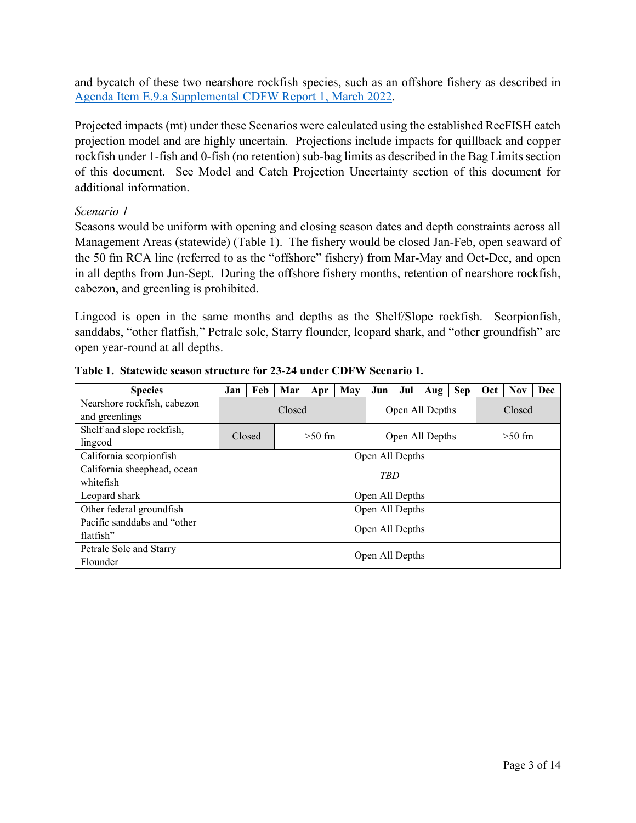and bycatch of these two nearshore rockfish species, such as an offshore fishery as described in [Agenda Item E.9.a Supplemental CDFW Report 1, March 2022.](https://www.pcouncil.org/documents/2022/03/e-9-a-supplemental-cdfw-report-1.pdf/)

Projected impacts (mt) under these Scenarios were calculated using the established RecFISH catch projection model and are highly uncertain. Projections include impacts for quillback and copper rockfish under 1-fish and 0-fish (no retention) sub-bag limits as described in the Bag Limits section of this document. See Model and Catch Projection Uncertainty section of this document for additional information.

## *Scenario 1*

Seasons would be uniform with opening and closing season dates and depth constraints across all Management Areas (statewide) (Table 1). The fishery would be closed Jan-Feb, open seaward of the 50 fm RCA line (referred to as the "offshore" fishery) from Mar-May and Oct-Dec, and open in all depths from Jun-Sept. During the offshore fishery months, retention of nearshore rockfish, cabezon, and greenling is prohibited.

Lingcod is open in the same months and depths as the Shelf/Slope rockfish. Scorpionfish, sanddabs, "other flatfish," Petrale sole, Starry flounder, leopard shark, and "other groundfish" are open year-round at all depths.

| <b>Species</b>                                | Jan | Feb             | Mar | Apr      | May | Jun             | Jul | Aug             | <b>Sep</b> | Oct | <b>Nov</b> | Dec |  |
|-----------------------------------------------|-----|-----------------|-----|----------|-----|-----------------|-----|-----------------|------------|-----|------------|-----|--|
| Nearshore rockfish, cabezon<br>and greenlings |     | Closed          |     |          |     |                 |     | Open All Depths | Closed     |     |            |     |  |
| Shelf and slope rockfish,                     |     | Closed          |     | $>50$ fm |     |                 |     | Open All Depths | $>50$ fm   |     |            |     |  |
| lingcod                                       |     |                 |     |          |     |                 |     |                 |            |     |            |     |  |
| California scorpionfish                       |     | Open All Depths |     |          |     |                 |     |                 |            |     |            |     |  |
| California sheephead, ocean                   |     | <b>TBD</b>      |     |          |     |                 |     |                 |            |     |            |     |  |
| whitefish                                     |     |                 |     |          |     |                 |     |                 |            |     |            |     |  |
| Leopard shark                                 |     |                 |     |          |     | Open All Depths |     |                 |            |     |            |     |  |
| Other federal groundfish                      |     |                 |     |          |     | Open All Depths |     |                 |            |     |            |     |  |
| Pacific sanddabs and "other                   |     |                 |     |          |     |                 |     |                 |            |     |            |     |  |
| flatfish"                                     |     | Open All Depths |     |          |     |                 |     |                 |            |     |            |     |  |
| Petrale Sole and Starry                       |     |                 |     |          |     | Open All Depths |     |                 |            |     |            |     |  |
| Flounder                                      |     |                 |     |          |     |                 |     |                 |            |     |            |     |  |

**Table 1. Statewide season structure for 23-24 under CDFW Scenario 1.**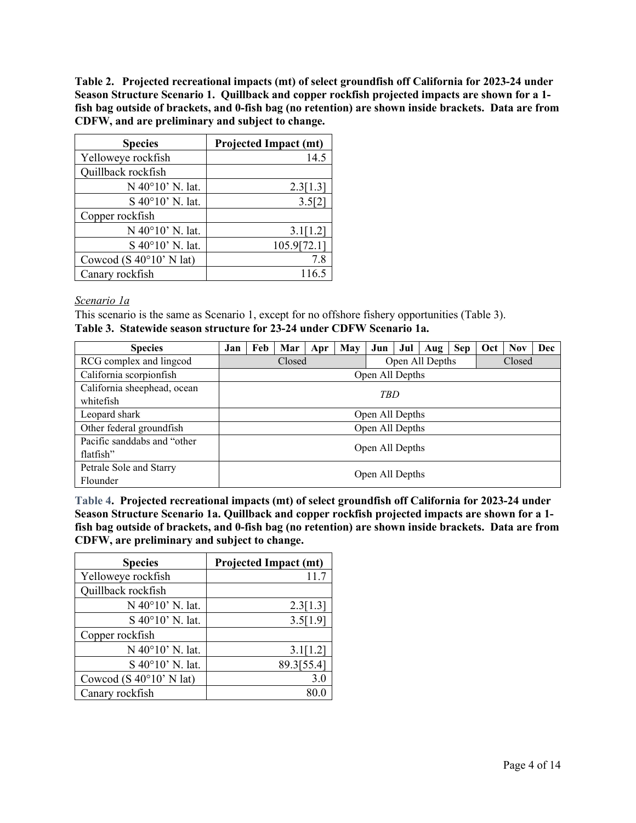**Table 2. Projected recreational impacts (mt) of select groundfish off California for 2023-24 under Season Structure Scenario 1. Quillback and copper rockfish projected impacts are shown for a 1 fish bag outside of brackets, and 0-fish bag (no retention) are shown inside brackets. Data are from CDFW, and are preliminary and subject to change.**

| <b>Species</b>                   | <b>Projected Impact (mt)</b> |
|----------------------------------|------------------------------|
| Yelloweye rockfish               | 14.5                         |
| Quillback rockfish               |                              |
| N 40°10' N. lat.                 | 2.3[1.3]                     |
| S 40°10' N. lat.                 | 3.5[2]                       |
| Copper rockfish                  |                              |
| N 40°10' N. lat.                 | 3.1[1.2]                     |
| S 40°10' N. lat.                 | 105.9[72.1]                  |
| Cowcod (S $40^{\circ}10'$ N lat) | 7.8                          |
| Canary rockfish                  | 116.5                        |

#### *Scenario 1a*

This scenario is the same as Scenario 1, except for no offshore fishery opportunities (Table 3).

| <b>Species</b>                           | Jan | Feb             | Mar    | Apr | May | Jun             | Jul | Aug   Sep       |        | Oct | <b>Nov</b> | Dec |  |
|------------------------------------------|-----|-----------------|--------|-----|-----|-----------------|-----|-----------------|--------|-----|------------|-----|--|
| RCG complex and lingcod                  |     |                 | Closed |     |     |                 |     | Open All Depths | Closed |     |            |     |  |
| California scorpionfish                  |     |                 |        |     |     | Open All Depths |     |                 |        |     |            |     |  |
| California sheephead, ocean<br>whitefish |     | TBD             |        |     |     |                 |     |                 |        |     |            |     |  |
| Leopard shark                            |     | Open All Depths |        |     |     |                 |     |                 |        |     |            |     |  |
| Other federal groundfish                 |     |                 |        |     |     | Open All Depths |     |                 |        |     |            |     |  |
| Pacific sanddabs and "other<br>flatfish" |     | Open All Depths |        |     |     |                 |     |                 |        |     |            |     |  |
| Petrale Sole and Starry<br>Flounder      |     | Open All Depths |        |     |     |                 |     |                 |        |     |            |     |  |

**Table 4. Projected recreational impacts (mt) of select groundfish off California for 2023-24 under Season Structure Scenario 1a. Quillback and copper rockfish projected impacts are shown for a 1 fish bag outside of brackets, and 0-fish bag (no retention) are shown inside brackets. Data are from CDFW, are preliminary and subject to change.**

| <b>Species</b>                   | <b>Projected Impact (mt)</b> |
|----------------------------------|------------------------------|
| Yelloweye rockfish               | 11.7                         |
| Quillback rockfish               |                              |
| N 40°10' N. lat.                 | 2.3[1.3]                     |
| S 40°10' N. lat.                 | 3.5[1.9]                     |
| Copper rockfish                  |                              |
| N 40°10' N. lat.                 | 3.1[1.2]                     |
| S 40°10' N. lat.                 | 89.3[55.4]                   |
| Cowcod (S $40^{\circ}10'$ N lat) | 3.0                          |
| Canary rockfish                  |                              |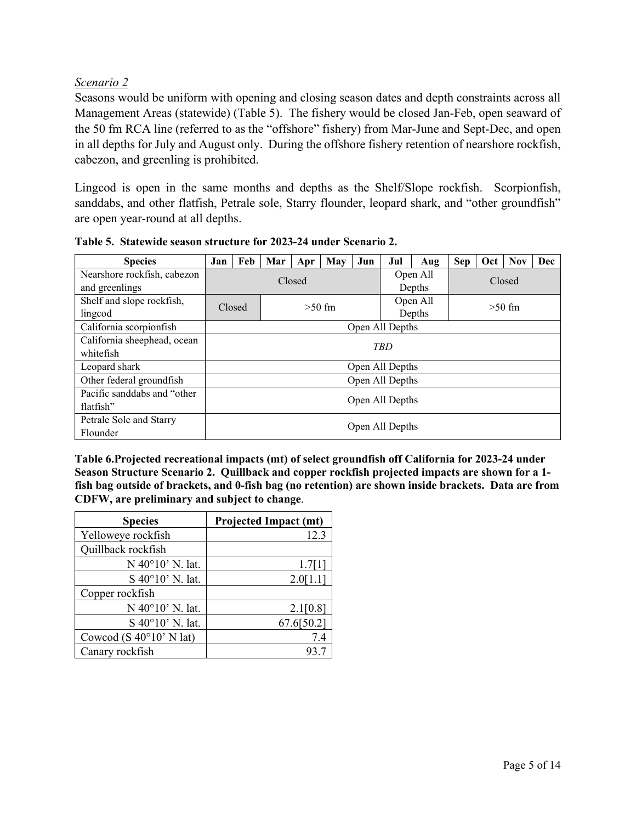# *Scenario 2*

Seasons would be uniform with opening and closing season dates and depth constraints across all Management Areas (statewide) (Table 5). The fishery would be closed Jan-Feb, open seaward of the 50 fm RCA line (referred to as the "offshore" fishery) from Mar-June and Sept-Dec, and open in all depths for July and August only. During the offshore fishery retention of nearshore rockfish, cabezon, and greenling is prohibited.

Lingcod is open in the same months and depths as the Shelf/Slope rockfish. Scorpionfish, sanddabs, and other flatfish, Petrale sole, Starry flounder, leopard shark, and "other groundfish" are open year-round at all depths.

| <b>Species</b>              | Jan | Feb             | Mar | Apr    | May      | Jun | Jul             | Aug      | <b>Sep</b> | Oct | <b>Nov</b> | <b>Dec</b> |
|-----------------------------|-----|-----------------|-----|--------|----------|-----|-----------------|----------|------------|-----|------------|------------|
| Nearshore rockfish, cabezon |     |                 |     | Closed |          |     |                 | Open All |            |     |            |            |
| and greenlings              |     |                 |     |        |          |     |                 | Depths   | Closed     |     |            |            |
| Shelf and slope rockfish,   |     | Closed          |     |        | $>50$ fm |     |                 | Open All | $>50$ fm   |     |            |            |
| lingcod                     |     |                 |     |        |          |     |                 | Depths   |            |     |            |            |
| California scorpionfish     |     | Open All Depths |     |        |          |     |                 |          |            |     |            |            |
| California sheephead, ocean |     | <b>TBD</b>      |     |        |          |     |                 |          |            |     |            |            |
| whitefish                   |     |                 |     |        |          |     |                 |          |            |     |            |            |
| Leopard shark               |     |                 |     |        |          |     | Open All Depths |          |            |     |            |            |
| Other federal groundfish    |     |                 |     |        |          |     | Open All Depths |          |            |     |            |            |
| Pacific sanddabs and "other |     |                 |     |        |          |     |                 |          |            |     |            |            |
| flatfish"                   |     | Open All Depths |     |        |          |     |                 |          |            |     |            |            |
| Petrale Sole and Starry     |     |                 |     |        |          |     | Open All Depths |          |            |     |            |            |
| Flounder                    |     |                 |     |        |          |     |                 |          |            |     |            |            |

**Table 5. Statewide season structure for 2023-24 under Scenario 2.**

**Table 6.Projected recreational impacts (mt) of select groundfish off California for 2023-24 under Season Structure Scenario 2. Quillback and copper rockfish projected impacts are shown for a 1 fish bag outside of brackets, and 0-fish bag (no retention) are shown inside brackets. Data are from CDFW, are preliminary and subject to change**.

| <b>Species</b>                   | <b>Projected Impact (mt)</b> |
|----------------------------------|------------------------------|
| Yelloweye rockfish               | 12.3                         |
| Quillback rockfish               |                              |
| N 40°10' N. lat.                 | 1.7[1]                       |
| S 40°10' N. lat.                 | 2.0[1.1]                     |
| Copper rockfish                  |                              |
| N 40°10' N. lat.                 | 2.1[0.8]                     |
| S 40°10' N. lat.                 | 67.6[50.2]                   |
| Cowcod (S $40^{\circ}10'$ N lat) | 7.4                          |
| Canary rockfish                  | 93.7                         |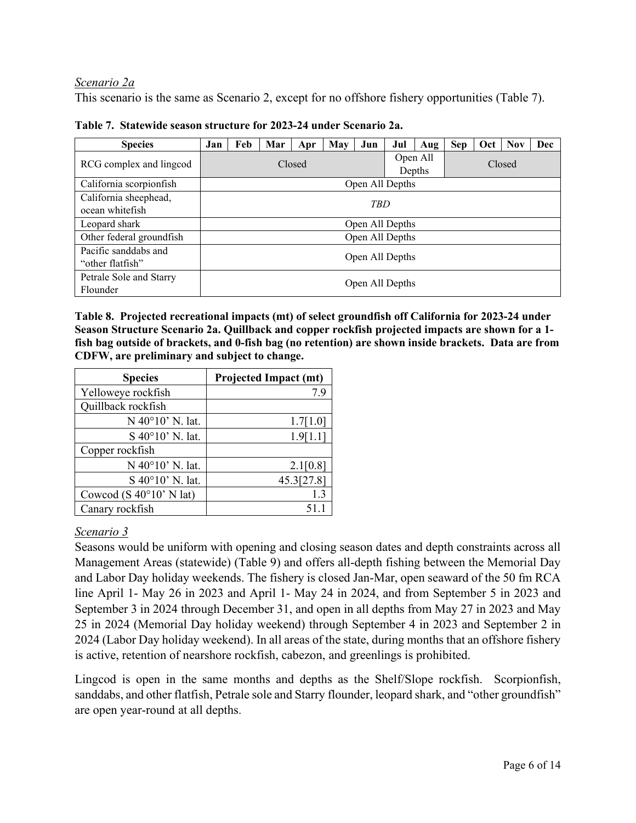## *Scenario 2a*

This scenario is the same as Scenario 2, except for no offshore fishery opportunities (Table 7).

| <b>Species</b>                           | Jan | Feb             | Mar | Apr    | May | Jun             | Jul                | Aug    | <b>Sep</b> | Oct | <b>Nov</b> | Dec |  |
|------------------------------------------|-----|-----------------|-----|--------|-----|-----------------|--------------------|--------|------------|-----|------------|-----|--|
| RCG complex and lingcod                  |     |                 |     | Closed |     |                 | Open All<br>Depths | Closed |            |     |            |     |  |
| California scorpionfish                  |     | Open All Depths |     |        |     |                 |                    |        |            |     |            |     |  |
| California sheephead,<br>ocean whitefish |     | <b>TBD</b>      |     |        |     |                 |                    |        |            |     |            |     |  |
| Leopard shark                            |     | Open All Depths |     |        |     |                 |                    |        |            |     |            |     |  |
| Other federal groundfish                 |     |                 |     |        |     | Open All Depths |                    |        |            |     |            |     |  |
| Pacific sanddabs and<br>"other flatfish" |     | Open All Depths |     |        |     |                 |                    |        |            |     |            |     |  |
| Petrale Sole and Starry<br>Flounder      |     | Open All Depths |     |        |     |                 |                    |        |            |     |            |     |  |

**Table 7. Statewide season structure for 2023-24 under Scenario 2a.**

**Table 8. Projected recreational impacts (mt) of select groundfish off California for 2023-24 under Season Structure Scenario 2a. Quillback and copper rockfish projected impacts are shown for a 1 fish bag outside of brackets, and 0-fish bag (no retention) are shown inside brackets. Data are from CDFW, are preliminary and subject to change.**

| <b>Species</b>                   | <b>Projected Impact (mt)</b> |
|----------------------------------|------------------------------|
| Yelloweye rockfish               | 7.9                          |
| Quillback rockfish               |                              |
| N 40°10' N. lat.                 | 1.7[1.0]                     |
| S 40°10' N. lat.                 | 1.9[1.1]                     |
| Copper rockfish                  |                              |
| N 40°10' N. lat.                 | 2.1[0.8]                     |
| S 40°10' N. lat.                 | 45.3[27.8]                   |
| Cowcod (S $40^{\circ}10'$ N lat) | 1.3                          |
| Canary rockfish                  | 51.1                         |

# *Scenario 3*

Seasons would be uniform with opening and closing season dates and depth constraints across all Management Areas (statewide) (Table 9) and offers all-depth fishing between the Memorial Day and Labor Day holiday weekends. The fishery is closed Jan-Mar, open seaward of the 50 fm RCA line April 1- May 26 in 2023 and April 1- May 24 in 2024, and from September 5 in 2023 and September 3 in 2024 through December 31, and open in all depths from May 27 in 2023 and May 25 in 2024 (Memorial Day holiday weekend) through September 4 in 2023 and September 2 in 2024 (Labor Day holiday weekend). In all areas of the state, during months that an offshore fishery is active, retention of nearshore rockfish, cabezon, and greenlings is prohibited.

Lingcod is open in the same months and depths as the Shelf/Slope rockfish. Scorpionfish, sanddabs, and other flatfish, Petrale sole and Starry flounder, leopard shark, and "other groundfish" are open year-round at all depths.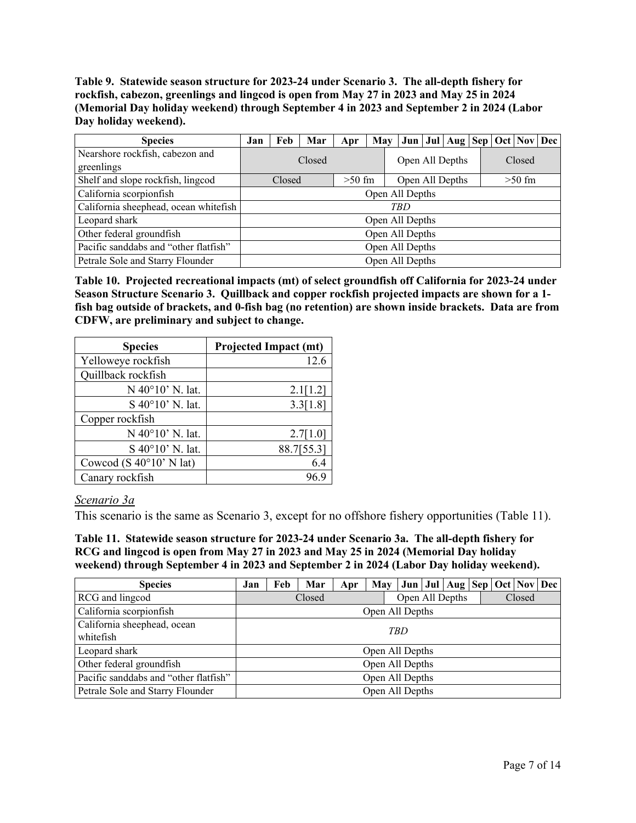**Table 9. Statewide season structure for 2023-24 under Scenario 3. The all-depth fishery for rockfish, cabezon, greenlings and lingcod is open from May 27 in 2023 and May 25 in 2024 (Memorial Day holiday weekend) through September 4 in 2023 and September 2 in 2024 (Labor Day holiday weekend).**

| <b>Species</b>                        | Jan | Feb             | Mar    | Apr      |  | May   Jun   Jul   Aug   Sep   Oct   Nov   Dec |  |  |        |          |  |  |
|---------------------------------------|-----|-----------------|--------|----------|--|-----------------------------------------------|--|--|--------|----------|--|--|
| Nearshore rockfish, cabezon and       |     |                 | Closed |          |  | Open All Depths                               |  |  | Closed |          |  |  |
| greenlings                            |     |                 |        |          |  |                                               |  |  |        |          |  |  |
| Shelf and slope rockfish, lingcod     |     | Closed          |        | $>50$ fm |  | Open All Depths                               |  |  |        | $>50$ fm |  |  |
| California scorpionfish               |     | Open All Depths |        |          |  |                                               |  |  |        |          |  |  |
| California sheephead, ocean whitefish | TBD |                 |        |          |  |                                               |  |  |        |          |  |  |
| Leopard shark                         |     |                 |        |          |  | Open All Depths                               |  |  |        |          |  |  |
| Other federal groundfish              |     |                 |        |          |  | Open All Depths                               |  |  |        |          |  |  |
| Pacific sanddabs and "other flatfish" |     | Open All Depths |        |          |  |                                               |  |  |        |          |  |  |
| Petrale Sole and Starry Flounder      |     |                 |        |          |  | Open All Depths                               |  |  |        |          |  |  |

**Table 10. Projected recreational impacts (mt) of select groundfish off California for 2023-24 under Season Structure Scenario 3. Quillback and copper rockfish projected impacts are shown for a 1 fish bag outside of brackets, and 0-fish bag (no retention) are shown inside brackets. Data are from CDFW, are preliminary and subject to change.**

| <b>Species</b>                   | <b>Projected Impact (mt)</b> |
|----------------------------------|------------------------------|
| Yelloweye rockfish               | 12.6                         |
| Quillback rockfish               |                              |
| N 40°10' N. lat.                 | 2.1[1.2]                     |
| S 40°10' N. lat.                 | 3.3[1.8]                     |
| Copper rockfish                  |                              |
| N 40°10' N. lat.                 | 2.7[1.0]                     |
| S 40°10' N. lat.                 | 88.7[55.3]                   |
| Cowcod (S $40^{\circ}10'$ N lat) | 6.4                          |
| Canary rockfish                  |                              |

### *Scenario 3a*

This scenario is the same as Scenario 3, except for no offshore fishery opportunities (Table 11).

**Table 11. Statewide season structure for 2023-24 under Scenario 3a. The all-depth fishery for RCG and lingcod is open from May 27 in 2023 and May 25 in 2024 (Memorial Day holiday weekend) through September 4 in 2023 and September 2 in 2024 (Labor Day holiday weekend).**

| <b>Species</b>                           | Jan                       | Feb | Mar | Apr | May   Jun   Jul   Aug   Sep   Oct   Nov   Dec |  |  |  |  |        |  |  |
|------------------------------------------|---------------------------|-----|-----|-----|-----------------------------------------------|--|--|--|--|--------|--|--|
| RCG and lingcod                          | Closed<br>Open All Depths |     |     |     |                                               |  |  |  |  | Closed |  |  |
| California scorpionfish                  |                           |     |     |     | Open All Depths                               |  |  |  |  |        |  |  |
| California sheephead, ocean<br>whitefish |                           | TBD |     |     |                                               |  |  |  |  |        |  |  |
| Leopard shark                            |                           |     |     |     | Open All Depths                               |  |  |  |  |        |  |  |
| Other federal groundfish                 |                           |     |     |     | Open All Depths                               |  |  |  |  |        |  |  |
| Pacific sanddabs and "other flatfish"    | Open All Depths           |     |     |     |                                               |  |  |  |  |        |  |  |
| Petrale Sole and Starry Flounder         |                           |     |     |     | Open All Depths                               |  |  |  |  |        |  |  |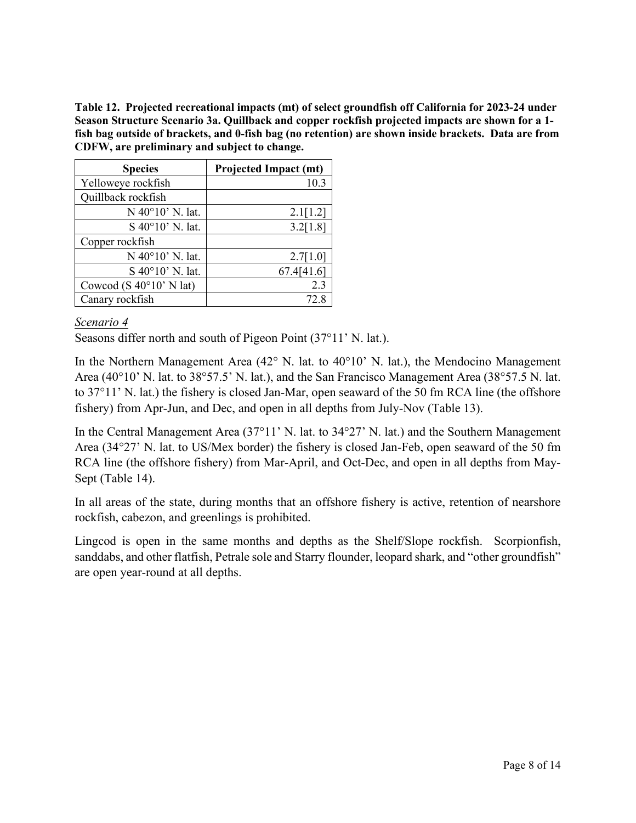**Table 12. Projected recreational impacts (mt) of select groundfish off California for 2023-24 under Season Structure Scenario 3a. Quillback and copper rockfish projected impacts are shown for a 1 fish bag outside of brackets, and 0-fish bag (no retention) are shown inside brackets. Data are from CDFW, are preliminary and subject to change.**

| <b>Species</b>                   | <b>Projected Impact (mt)</b> |
|----------------------------------|------------------------------|
| Yelloweye rockfish               | 10.3                         |
| Quillback rockfish               |                              |
| N 40°10' N. lat.                 | 2.1[1.2]                     |
| S 40°10' N. lat.                 | 3.2[1.8]                     |
| Copper rockfish                  |                              |
| N 40°10' N. lat.                 | 2.7[1.0]                     |
| S 40°10' N. lat.                 | 67.4[41.6]                   |
| Cowcod (S $40^{\circ}10'$ N lat) | 2.3                          |
| Canary rockfish                  | 72.8                         |

# *Scenario 4*

Seasons differ north and south of Pigeon Point (37°11' N. lat.).

In the Northern Management Area (42° N. lat. to 40°10' N. lat.), the Mendocino Management Area (40°10' N. lat. to 38°57.5' N. lat.), and the San Francisco Management Area (38°57.5 N. lat. to 37°11' N. lat.) the fishery is closed Jan-Mar, open seaward of the 50 fm RCA line (the offshore fishery) from Apr-Jun, and Dec, and open in all depths from July-Nov (Table 13).

In the Central Management Area (37°11' N. lat. to 34°27' N. lat.) and the Southern Management Area (34°27' N. lat. to US/Mex border) the fishery is closed Jan-Feb, open seaward of the 50 fm RCA line (the offshore fishery) from Mar-April, and Oct-Dec, and open in all depths from May-Sept (Table 14).

In all areas of the state, during months that an offshore fishery is active, retention of nearshore rockfish, cabezon, and greenlings is prohibited.

Lingcod is open in the same months and depths as the Shelf/Slope rockfish. Scorpionfish, sanddabs, and other flatfish, Petrale sole and Starry flounder, leopard shark, and "other groundfish" are open year-round at all depths.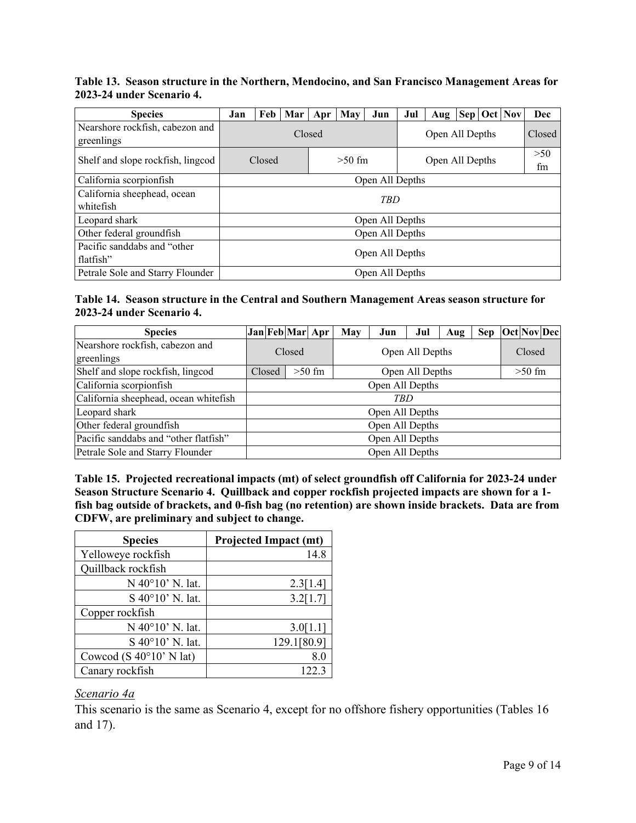**Table 13. Season structure in the Northern, Mendocino, and San Francisco Management Areas for 2023-24 under Scenario 4.**

| <b>Species</b>                                | Jan             | Feb |  | Mar   Apr | May      | Jun             | Jul                       | Aug       |  |  | Sep   Oct   Nov | Dec |  |
|-----------------------------------------------|-----------------|-----|--|-----------|----------|-----------------|---------------------------|-----------|--|--|-----------------|-----|--|
| Nearshore rockfish, cabezon and<br>greenlings | Closed          |     |  |           |          |                 | Open All Depths<br>Closed |           |  |  |                 |     |  |
| Shelf and slope rockfish, lingcod             | Closed          |     |  |           | $>50$ fm |                 | Open All Depths           | >50<br>fm |  |  |                 |     |  |
| California scorpionfish                       | Open All Depths |     |  |           |          |                 |                           |           |  |  |                 |     |  |
| California sheephead, ocean<br>whitefish      | <b>TBD</b>      |     |  |           |          |                 |                           |           |  |  |                 |     |  |
| Leopard shark                                 |                 |     |  |           |          | Open All Depths |                           |           |  |  |                 |     |  |
| Other federal groundfish                      | Open All Depths |     |  |           |          |                 |                           |           |  |  |                 |     |  |
| Pacific sanddabs and "other<br>flatfish"      | Open All Depths |     |  |           |          |                 |                           |           |  |  |                 |     |  |
| Petrale Sole and Starry Flounder              | Open All Depths |     |  |           |          |                 |                           |           |  |  |                 |     |  |

#### **Table 14. Season structure in the Central and Southern Management Areas season structure for 2023-24 under Scenario 4.**

| <b>Species</b>                        | Jan Feb Mar Apr |                             |  | May | Jun             | Jul | Aug |  | Sep Oct Nov Dec |  |  |  |
|---------------------------------------|-----------------|-----------------------------|--|-----|-----------------|-----|-----|--|-----------------|--|--|--|
| Nearshore rockfish, cabezon and       | Closed          |                             |  |     | Closed          |     |     |  |                 |  |  |  |
| greenlings                            |                 |                             |  |     | Open All Depths |     |     |  |                 |  |  |  |
| Shelf and slope rockfish, lingcod     | Closed          | $>50$ fm<br>Open All Depths |  |     |                 |     |     |  | $>50$ fm        |  |  |  |
| California scorpionfish               | Open All Depths |                             |  |     |                 |     |     |  |                 |  |  |  |
| California sheephead, ocean whitefish | TBD             |                             |  |     |                 |     |     |  |                 |  |  |  |
| Leopard shark                         |                 | Open All Depths             |  |     |                 |     |     |  |                 |  |  |  |
| Other federal groundfish              | Open All Depths |                             |  |     |                 |     |     |  |                 |  |  |  |
| Pacific sanddabs and "other flatfish" | Open All Depths |                             |  |     |                 |     |     |  |                 |  |  |  |
| Petrale Sole and Starry Flounder      | Open All Depths |                             |  |     |                 |     |     |  |                 |  |  |  |

**Table 15. Projected recreational impacts (mt) of select groundfish off California for 2023-24 under Season Structure Scenario 4. Quillback and copper rockfish projected impacts are shown for a 1 fish bag outside of brackets, and 0-fish bag (no retention) are shown inside brackets. Data are from CDFW, are preliminary and subject to change.**

| <b>Species</b>                   | <b>Projected Impact (mt)</b> |
|----------------------------------|------------------------------|
| Yelloweye rockfish               | 14.8                         |
| Quillback rockfish               |                              |
| N 40°10' N. lat.                 | 2.3[1.4]                     |
| S 40°10' N. lat.                 | 3.2[1.7]                     |
| Copper rockfish                  |                              |
| N 40°10' N. lat.                 | 3.0[1.1]                     |
| S 40°10' N. lat.                 | 129.1[80.9]                  |
| Cowcod (S $40^{\circ}10'$ N lat) | 8.0                          |
| Canary rockfish                  | 122.3                        |

### *Scenario 4a*

This scenario is the same as Scenario 4, except for no offshore fishery opportunities (Tables 16 and 17).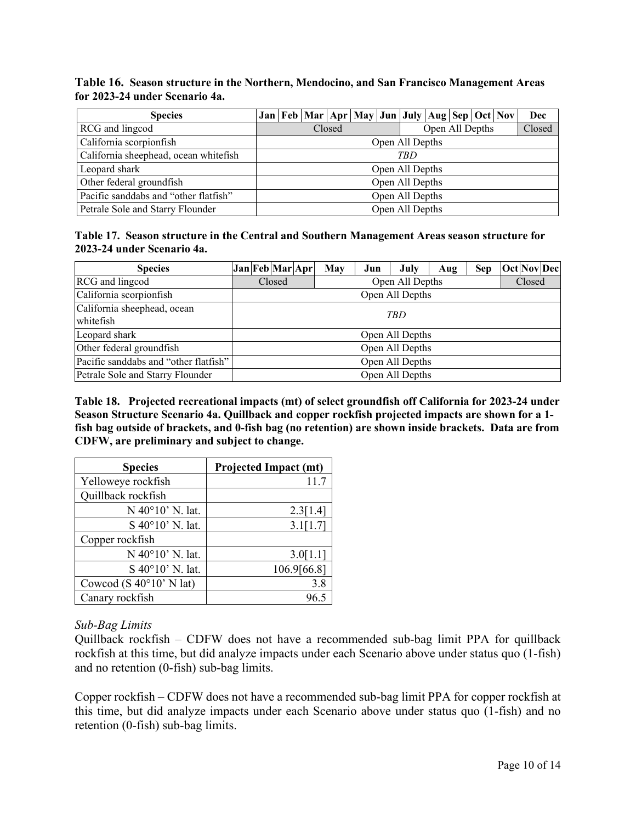#### **Table 16. Season structure in the Northern, Mendocino, and San Francisco Management Areas for 2023-24 under Scenario 4a.**

| <b>Species</b>                        |                 |                           |  |  | Jan   Feb   Mar   Apr   May   Jun   July   Aug   Sep   Oct   Nov |  |  |  |  |        |  | Dec |  |  |
|---------------------------------------|-----------------|---------------------------|--|--|------------------------------------------------------------------|--|--|--|--|--------|--|-----|--|--|
| RCG and lingcod                       |                 | Open All Depths<br>Closed |  |  |                                                                  |  |  |  |  | Closed |  |     |  |  |
| California scorpionfish               | Open All Depths |                           |  |  |                                                                  |  |  |  |  |        |  |     |  |  |
| California sheephead, ocean whitefish | TBD             |                           |  |  |                                                                  |  |  |  |  |        |  |     |  |  |
| Leopard shark                         | Open All Depths |                           |  |  |                                                                  |  |  |  |  |        |  |     |  |  |
| Other federal groundfish              | Open All Depths |                           |  |  |                                                                  |  |  |  |  |        |  |     |  |  |
| Pacific sanddabs and "other flatfish" | Open All Depths |                           |  |  |                                                                  |  |  |  |  |        |  |     |  |  |
| Petrale Sole and Starry Flounder      | Open All Depths |                           |  |  |                                                                  |  |  |  |  |        |  |     |  |  |

**Table 17. Season structure in the Central and Southern Management Areas season structure for 2023-24 under Scenario 4a.**

| <b>Species</b>                        |                 |                 | Jan Feb Mar Apr |  | May | Jun    | July | Aug | <b>Sep</b> |  |  | Oct Nov Dec |
|---------------------------------------|-----------------|-----------------|-----------------|--|-----|--------|------|-----|------------|--|--|-------------|
| RCG and lingcod                       |                 |                 | Closed          |  |     | Closed |      |     |            |  |  |             |
| California scorpionfish               |                 | Open All Depths |                 |  |     |        |      |     |            |  |  |             |
| California sheephead, ocean           |                 |                 |                 |  |     |        |      |     |            |  |  |             |
| whitefish                             |                 | TBD.            |                 |  |     |        |      |     |            |  |  |             |
| Leopard shark                         |                 | Open All Depths |                 |  |     |        |      |     |            |  |  |             |
| Other federal groundfish              |                 | Open All Depths |                 |  |     |        |      |     |            |  |  |             |
| Pacific sanddabs and "other flatfish" |                 | Open All Depths |                 |  |     |        |      |     |            |  |  |             |
| Petrale Sole and Starry Flounder      | Open All Depths |                 |                 |  |     |        |      |     |            |  |  |             |

**Table 18. Projected recreational impacts (mt) of select groundfish off California for 2023-24 under Season Structure Scenario 4a. Quillback and copper rockfish projected impacts are shown for a 1 fish bag outside of brackets, and 0-fish bag (no retention) are shown inside brackets. Data are from CDFW, are preliminary and subject to change.**

| <b>Species</b>                   | <b>Projected Impact (mt)</b> |
|----------------------------------|------------------------------|
| Yelloweye rockfish               | 11.7                         |
| Quillback rockfish               |                              |
| N 40°10' N. lat.                 | 2.3[1.4]                     |
| S 40°10' N. lat.                 | 3.1[1.7]                     |
| Copper rockfish                  |                              |
| N 40°10' N. lat.                 | 3.0[1.1]                     |
| S 40°10' N. lat.                 | 106.9[66.8]                  |
| Cowcod (S $40^{\circ}10'$ N lat) | 3.8                          |
| Canary rockfish                  |                              |

### *Sub-Bag Limits*

Quillback rockfish – CDFW does not have a recommended sub-bag limit PPA for quillback rockfish at this time, but did analyze impacts under each Scenario above under status quo (1-fish) and no retention (0-fish) sub-bag limits.

Copper rockfish – CDFW does not have a recommended sub-bag limit PPA for copper rockfish at this time, but did analyze impacts under each Scenario above under status quo (1-fish) and no retention (0-fish) sub-bag limits.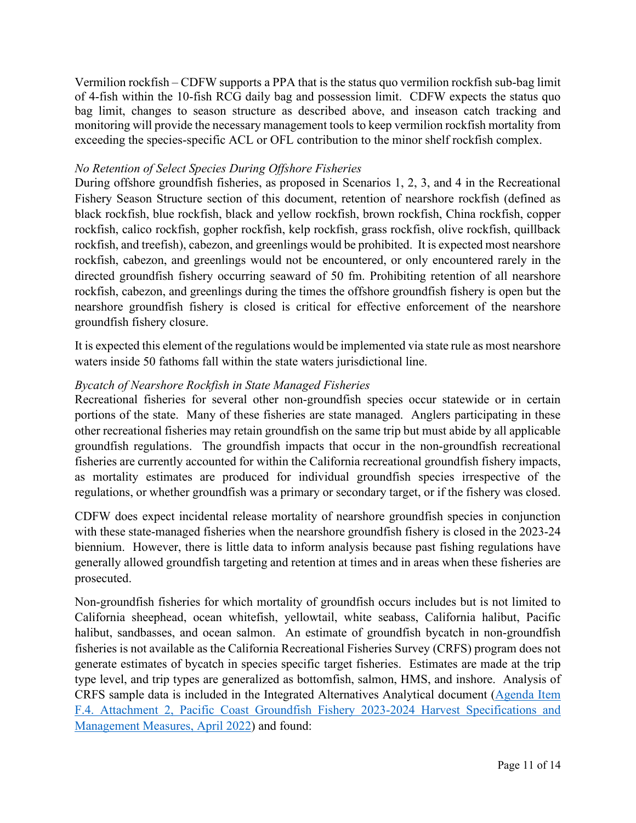Vermilion rockfish – CDFW supports a PPA that is the status quo vermilion rockfish sub-bag limit of 4-fish within the 10-fish RCG daily bag and possession limit. CDFW expects the status quo bag limit, changes to season structure as described above, and inseason catch tracking and monitoring will provide the necessary management tools to keep vermilion rockfish mortality from exceeding the species-specific ACL or OFL contribution to the minor shelf rockfish complex.

## *No Retention of Select Species During Offshore Fisheries*

During offshore groundfish fisheries, as proposed in Scenarios 1, 2, 3, and 4 in the Recreational Fishery Season Structure section of this document, retention of nearshore rockfish (defined as black rockfish, blue rockfish, black and yellow rockfish, brown rockfish, China rockfish, copper rockfish, calico rockfish, gopher rockfish, kelp rockfish, grass rockfish, olive rockfish, quillback rockfish, and treefish), cabezon, and greenlings would be prohibited. It is expected most nearshore rockfish, cabezon, and greenlings would not be encountered, or only encountered rarely in the directed groundfish fishery occurring seaward of 50 fm. Prohibiting retention of all nearshore rockfish, cabezon, and greenlings during the times the offshore groundfish fishery is open but the nearshore groundfish fishery is closed is critical for effective enforcement of the nearshore groundfish fishery closure.

It is expected this element of the regulations would be implemented via state rule as most nearshore waters inside 50 fathoms fall within the state waters jurisdictional line.

## *Bycatch of Nearshore Rockfish in State Managed Fisheries*

Recreational fisheries for several other non-groundfish species occur statewide or in certain portions of the state. Many of these fisheries are state managed. Anglers participating in these other recreational fisheries may retain groundfish on the same trip but must abide by all applicable groundfish regulations. The groundfish impacts that occur in the non-groundfish recreational fisheries are currently accounted for within the California recreational groundfish fishery impacts, as mortality estimates are produced for individual groundfish species irrespective of the regulations, or whether groundfish was a primary or secondary target, or if the fishery was closed.

CDFW does expect incidental release mortality of nearshore groundfish species in conjunction with these state-managed fisheries when the nearshore groundfish fishery is closed in the 2023-24 biennium. However, there is little data to inform analysis because past fishing regulations have generally allowed groundfish targeting and retention at times and in areas when these fisheries are prosecuted.

Non-groundfish fisheries for which mortality of groundfish occurs includes but is not limited to California sheephead, ocean whitefish, yellowtail, white seabass, California halibut, Pacific halibut, sandbasses, and ocean salmon. An estimate of groundfish bycatch in non-groundfish fisheries is not available as the California Recreational Fisheries Survey (CRFS) program does not generate estimates of bycatch in species specific target fisheries. Estimates are made at the trip type level, and trip types are generalized as bottomfish, salmon, HMS, and inshore. Analysis of CRFS sample data is included in the Integrated Alternatives Analytical document [\(Agenda Item](https://www.pcouncil.org/documents/2022/03/f-4-attachment-2-2023-2024-management-measure-analytical-document-electronic-only.pdf/)  [F.4. Attachment 2, Pacific Coast Groundfish Fishery 2023-2024 Harvest Specifications and](https://www.pcouncil.org/documents/2022/03/f-4-attachment-2-2023-2024-management-measure-analytical-document-electronic-only.pdf/)  [Management Measures, April 2022\)](https://www.pcouncil.org/documents/2022/03/f-4-attachment-2-2023-2024-management-measure-analytical-document-electronic-only.pdf/) and found: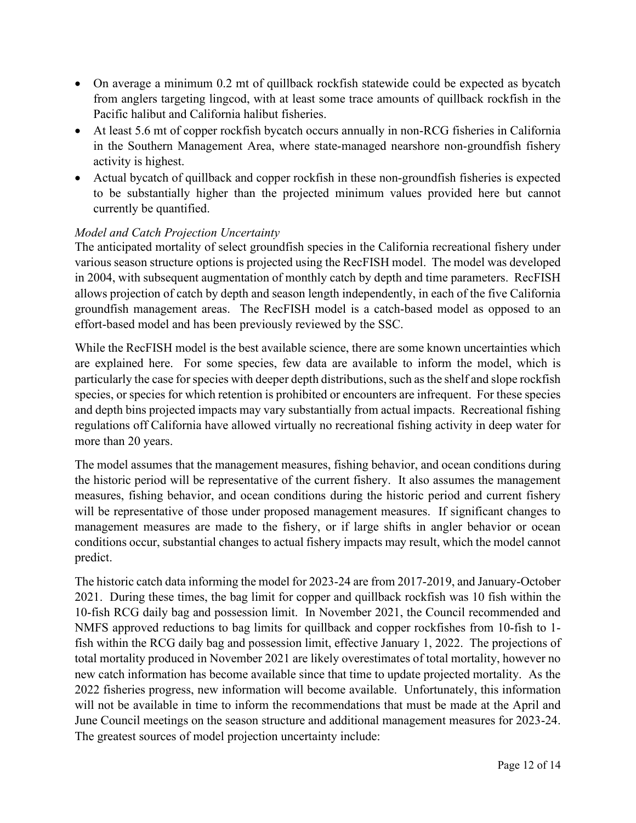- On average a minimum 0.2 mt of quillback rockfish statewide could be expected as bycatch from anglers targeting lingcod, with at least some trace amounts of quillback rockfish in the Pacific halibut and California halibut fisheries.
- At least 5.6 mt of copper rockfish bycatch occurs annually in non-RCG fisheries in California in the Southern Management Area, where state-managed nearshore non-groundfish fishery activity is highest.
- Actual bycatch of quillback and copper rockfish in these non-groundfish fisheries is expected to be substantially higher than the projected minimum values provided here but cannot currently be quantified.

# *Model and Catch Projection Uncertainty*

The anticipated mortality of select groundfish species in the California recreational fishery under various season structure options is projected using the RecFISH model. The model was developed in 2004, with subsequent augmentation of monthly catch by depth and time parameters. RecFISH allows projection of catch by depth and season length independently, in each of the five California groundfish management areas. The RecFISH model is a catch-based model as opposed to an effort-based model and has been previously reviewed by the SSC.

While the RecFISH model is the best available science, there are some known uncertainties which are explained here. For some species, few data are available to inform the model, which is particularly the case for species with deeper depth distributions, such as the shelf and slope rockfish species, or species for which retention is prohibited or encounters are infrequent. For these species and depth bins projected impacts may vary substantially from actual impacts. Recreational fishing regulations off California have allowed virtually no recreational fishing activity in deep water for more than 20 years.

The model assumes that the management measures, fishing behavior, and ocean conditions during the historic period will be representative of the current fishery. It also assumes the management measures, fishing behavior, and ocean conditions during the historic period and current fishery will be representative of those under proposed management measures. If significant changes to management measures are made to the fishery, or if large shifts in angler behavior or ocean conditions occur, substantial changes to actual fishery impacts may result, which the model cannot predict.

The historic catch data informing the model for 2023-24 are from 2017-2019, and January-October 2021. During these times, the bag limit for copper and quillback rockfish was 10 fish within the 10-fish RCG daily bag and possession limit. In November 2021, the Council recommended and NMFS approved reductions to bag limits for quillback and copper rockfishes from 10-fish to 1 fish within the RCG daily bag and possession limit, effective January 1, 2022. The projections of total mortality produced in November 2021 are likely overestimates of total mortality, however no new catch information has become available since that time to update projected mortality. As the 2022 fisheries progress, new information will become available. Unfortunately, this information will not be available in time to inform the recommendations that must be made at the April and June Council meetings on the season structure and additional management measures for 2023-24. The greatest sources of model projection uncertainty include: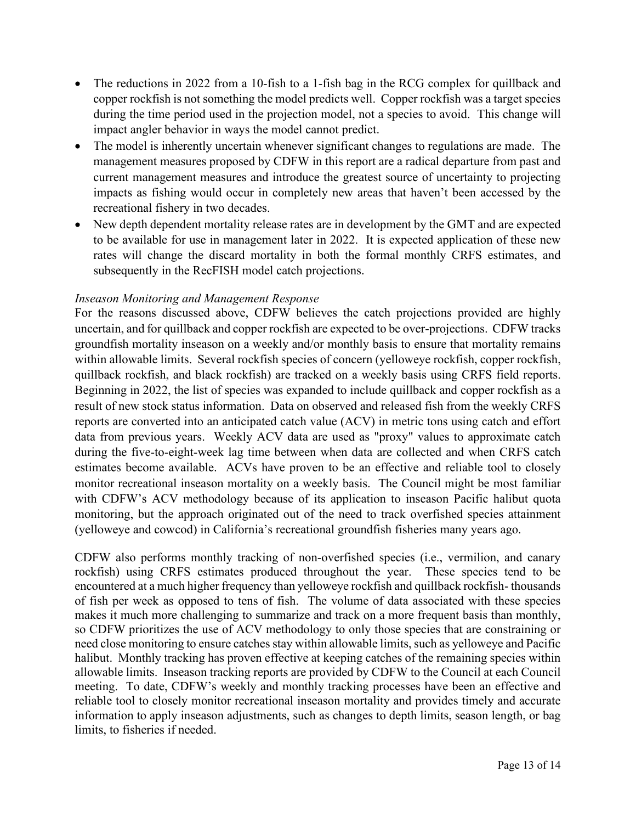- The reductions in 2022 from a 10-fish to a 1-fish bag in the RCG complex for quillback and copper rockfish is not something the model predicts well. Copper rockfish was a target species during the time period used in the projection model, not a species to avoid. This change will impact angler behavior in ways the model cannot predict.
- The model is inherently uncertain whenever significant changes to regulations are made. The management measures proposed by CDFW in this report are a radical departure from past and current management measures and introduce the greatest source of uncertainty to projecting impacts as fishing would occur in completely new areas that haven't been accessed by the recreational fishery in two decades.
- New depth dependent mortality release rates are in development by the GMT and are expected to be available for use in management later in 2022. It is expected application of these new rates will change the discard mortality in both the formal monthly CRFS estimates, and subsequently in the RecFISH model catch projections.

# *Inseason Monitoring and Management Response*

For the reasons discussed above, CDFW believes the catch projections provided are highly uncertain, and for quillback and copper rockfish are expected to be over-projections. CDFW tracks groundfish mortality inseason on a weekly and/or monthly basis to ensure that mortality remains within allowable limits. Several rockfish species of concern (yelloweye rockfish, copper rockfish, quillback rockfish, and black rockfish) are tracked on a weekly basis using CRFS field reports. Beginning in 2022, the list of species was expanded to include quillback and copper rockfish as a result of new stock status information. Data on observed and released fish from the weekly CRFS reports are converted into an anticipated catch value (ACV) in metric tons using catch and effort data from previous years. Weekly ACV data are used as "proxy" values to approximate catch during the five-to-eight-week lag time between when data are collected and when CRFS catch estimates become available. ACVs have proven to be an effective and reliable tool to closely monitor recreational inseason mortality on a weekly basis. The Council might be most familiar with CDFW's ACV methodology because of its application to inseason Pacific halibut quota monitoring, but the approach originated out of the need to track overfished species attainment (yelloweye and cowcod) in California's recreational groundfish fisheries many years ago.

CDFW also performs monthly tracking of non-overfished species (i.e., vermilion, and canary rockfish) using CRFS estimates produced throughout the year. These species tend to be encountered at a much higher frequency than yelloweye rockfish and quillback rockfish- thousands of fish per week as opposed to tens of fish. The volume of data associated with these species makes it much more challenging to summarize and track on a more frequent basis than monthly, so CDFW prioritizes the use of ACV methodology to only those species that are constraining or need close monitoring to ensure catches stay within allowable limits, such as yelloweye and Pacific halibut. Monthly tracking has proven effective at keeping catches of the remaining species within allowable limits. Inseason tracking reports are provided by CDFW to the Council at each Council meeting. To date, CDFW's weekly and monthly tracking processes have been an effective and reliable tool to closely monitor recreational inseason mortality and provides timely and accurate information to apply inseason adjustments, such as changes to depth limits, season length, or bag limits, to fisheries if needed.